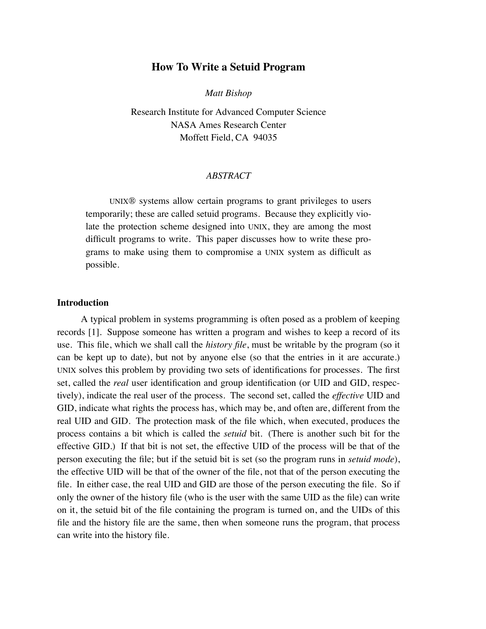# **How To Write a Setuid Program**

*Matt Bishop*

Research Institute for Advanced Computer Science NASA Ames Research Center Moffett Field, CA 94035

## *ABSTRACT*

UNIX® systems allow certain programs to grant privileges to users temporarily; these are called setuid programs. Because they explicitly violate the protection scheme designed into UNIX, they are among the most difficult programs to write. This paper discusses how to write these programs to make using them to compromise a UNIX system as difficult as possible.

### **Introduction**

A typical problem in systems programming is often posed as a problem of keeping records [1]. Suppose someone has written a program and wishes to keep a record of its use. This file, which we shall call the *history file*, must be writable by the program (so it can be kept up to date), but not by anyone else (so that the entries in it are accurate.) UNIX solves this problem by providing two sets of identifications for processes. The first set, called the *real* user identification and group identification (or UID and GID, respectively), indicate the real user of the process. The second set, called the *effective* UID and GID, indicate what rights the process has, which may be, and often are, different from the real UID and GID. The protection mask of the file which, when executed, produces the process contains a bit which is called the *setuid* bit. (There is another such bit for the effective GID.) If that bit is not set, the effective UID of the process will be that of the person executing the file; but if the setuid bit is set (so the program runs in *setuid mode*), the effective UID will be that of the owner of the file, not that of the person executing the file. In either case, the real UID and GID are those of the person executing the file. So if only the owner of the history file (who is the user with the same UID as the file) can write on it, the setuid bit of the le containing the program is turned on, and the UIDs of this file and the history file are the same, then when someone runs the program, that process can write into the history file.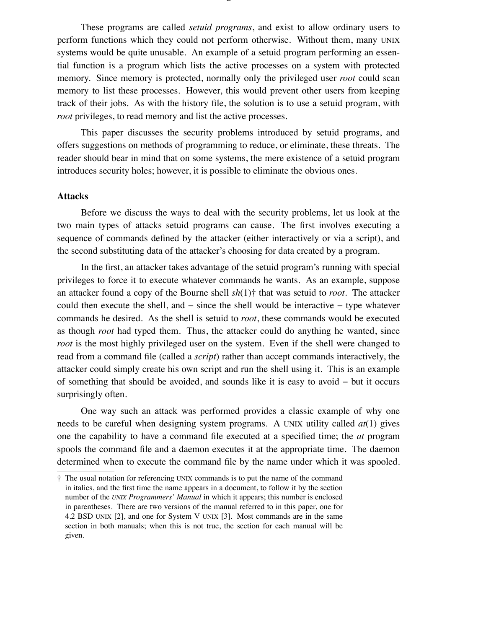These programs are called *setuid programs*, and exist to allow ordinary users to perform functions which they could not perform otherwise. Without them, many UNIX systems would be quite unusable. An example of a setuid program performing an essential function is a program which lists the active processes on a system with protected memory. Since memory is protected, normally only the privileged user *root* could scan memory to list these processes. However, this would prevent other users from keeping track of their jobs. As with the history file, the solution is to use a setuid program, with *root* privileges, to read memory and list the active processes.

This paper discusses the security problems introduced by setuid programs, and offers suggestions on methods of programming to reduce, or eliminate, these threats. The reader should bear in mind that on some systems, the mere existence of a setuid program introduces security holes; however, it is possible to eliminate the obvious ones.

### **Attacks**

Before we discuss the ways to deal with the security problems, let us look at the two main types of attacks setuid programs can cause. The first involves executing a sequence of commands defined by the attacker (either interactively or via a script), and the second substituting data of the attacker's choosing for data created by a program.

In the first, an attacker takes advantage of the setuid program's running with special privileges to force it to execute whatever commands he wants. As an example, suppose an attacker found a copy of the Bourne shell  $sh(1)$ <sup> $\dagger$ </sup> that was setuid to *root*. The attacker could then execute the shell, and  $-$  since the shell would be interactive  $-$  type whatever commands he desired. As the shell is setuid to *root*, these commands would be executed as though *root* had typed them. Thus, the attacker could do anything he wanted, since *root* is the most highly privileged user on the system. Even if the shell were changed to read from a command file (called a *script*) rather than accept commands interactively, the attacker could simply create his own script and run the shell using it. This is an example of something that should be avoided, and sounds like it is easy to avoid  $-$  but it occurs surprisingly often.

One way such an attack was performed provides a classic example of why one needs to be careful when designing system programs. A UNIX utility called *at*(1) gives one the capability to have a command file executed at a specified time; the *at* program spools the command file and a daemon executes it at the appropriate time. The daemon determined when to execute the command file by the name under which it was spooled.

<sup>\</sup> The usual notation for referencing UNIX commands is to put the name of the command in italics, and the first time the name appears in a document, to follow it by the section number of the *UNIX Programmers' Manual* in which it appears; this number is enclosed in parentheses. There are two versions of the manual referred to in this paper, one for 4.2 BSD UNIX [2], and one for System V UNIX [3]. Most commands are in the same section in both manuals; when this is not true, the section for each manual will be given.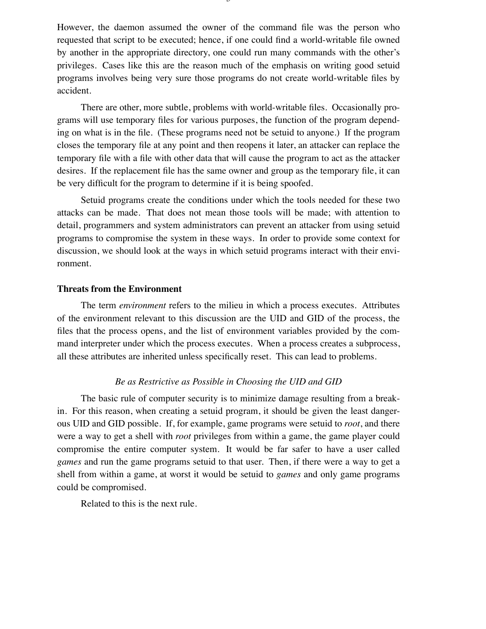However, the daemon assumed the owner of the command file was the person who requested that script to be executed; hence, if one could find a world-writable file owned by another in the appropriate directory, one could run many commands with the other's privileges. Cases like this are the reason much of the emphasis on writing good setuid programs involves being very sure those programs do not create world-writable files by accident.

There are other, more subtle, problems with world-writable files. Occasionally programs will use temporary files for various purposes, the function of the program depending on what is in the file. (These programs need not be setuid to anyone.) If the program closes the temporary file at any point and then reopens it later, an attacker can replace the temporary file with a file with other data that will cause the program to act as the attacker desires. If the replacement file has the same owner and group as the temporary file, it can be very difficult for the program to determine if it is being spoofed.

Setuid programs create the conditions under which the tools needed for these two attacks can be made. That does not mean those tools will be made; with attention to detail, programmers and system administrators can prevent an attacker from using setuid programs to compromise the system in these ways. In order to provide some context for discussion, we should look at the ways in which setuid programs interact with their environment.

#### **Threats from the Environment**

The term *environment* refers to the milieu in which a process executes. Attributes of the environment relevant to this discussion are the UID and GID of the process, the files that the process opens, and the list of environment variables provided by the command interpreter under which the process executes. When a process creates a subprocess, all these attributes are inherited unless specifically reset. This can lead to problems.

#### *Be as Restrictive as Possible in Choosing the UID and GID*

The basic rule of computer security is to minimize damage resulting from a breakin. For this reason, when creating a setuid program, it should be given the least dangerous UID and GID possible. If, for example, game programs were setuid to *root*, and there were a way to get a shell with *root* privileges from within a game, the game player could compromise the entire computer system. It would be far safer to have a user called *games* and run the game programs setuid to that user. Then, if there were a way to get a shell from within a game, at worst it would be setuid to *games* and only game programs could be compromised.

Related to this is the next rule.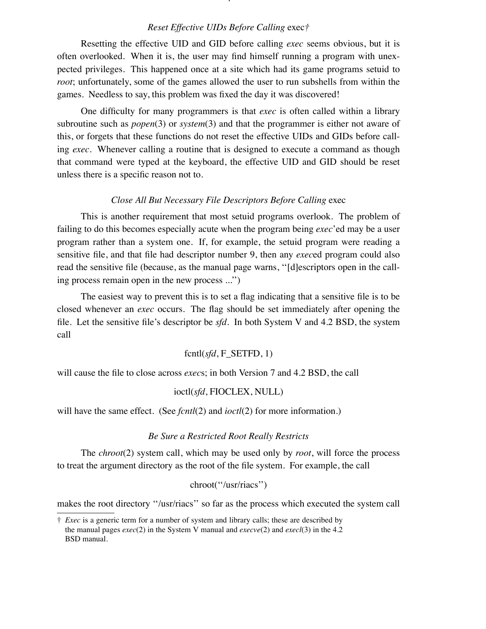# *Reset Effective UIDs Before Calling* exec*F*

 $\mathbf{r}$ 

Resetting the effective UID and GID before calling *exec* seems obvious, but it is often overlooked. When it is, the user may find himself running a program with unexpected privileges. This happened once at a site which had its game programs setuid to *root*; unfortunately, some of the games allowed the user to run subshells from within the games. Needless to say, this problem was fixed the day it was discovered!

One difculty for many programmers is that *exec* is often called within a library subroutine such as *popen*(3) or *system*(3) and that the programmer is either not aware of this, or forgets that these functions do not reset the effective UIDs and GIDs before calling *exec*. Whenever calling a routine that is designed to execute a command as though that command were typed at the keyboard, the effective UID and GID should be reset unless there is a specific reason not to.

## *Close All But Necessary File Descriptors Before Calling* exec

This is another requirement that most setuid programs overlook. The problem of failing to do this becomes especially acute when the program being *exec*'ed may be a user program rather than a system one. If, for example, the setuid program were reading a sensitive file, and that file had descriptor number 9, then any *exec*ed program could also read the sensitive file (because, as the manual page warns, "[d]escriptors open in the calling process remain open in the new process  $\ldots$ ")

The easiest way to prevent this is to set a flag indicating that a sensitive file is to be closed whenever an *exec* occurs. The flag should be set immediately after opening the file. Let the sensitive file's descriptor be  $sfd$ . In both System V and 4.2 BSD, the system call

# fcntl(*sfd*, F\_SETFD, 1)

will cause the file to close across *execs*; in both Version 7 and 4.2 BSD, the call

### ioctl(*sfd*, FIOCLEX, NULL)

will have the same effect. (See *fcntl*(2) and *ioctl*(2) for more information.)

#### *Be Sure a Restricted Root Really Restricts*

The *chroot*(2) system call, which may be used only by *root*, will force the process to treat the argument directory as the root of the file system. For example, the call

## chroot("/usr/riacs")

makes the root directory "/usr/riacs" so far as the process which executed the system call

<sup>\</sup> *Exec* is a generic term for a number of system and library calls; these are described by the manual pages *exec*(2) in the System V manual and *execve*(2) and *execl*(3) in the 4.2 BSD manual.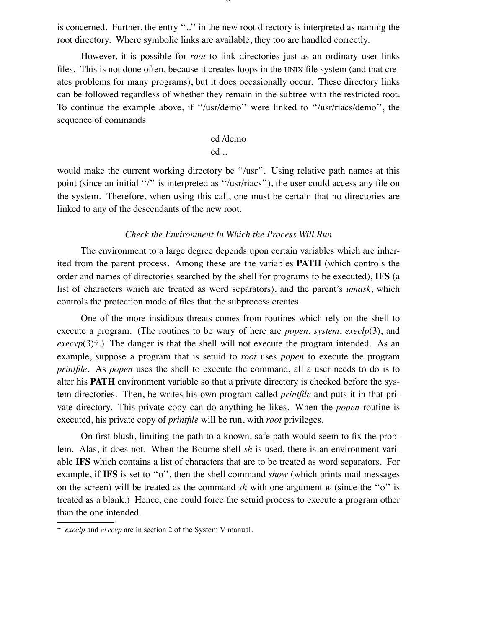is concerned. Further, the entry "..." in the new root directory is interpreted as naming the root directory. Where symbolic links are available, they too are handled correctly.

However, it is possible for *root* to link directories just as an ordinary user links files. This is not done often, because it creates loops in the UNIX file system (and that creates problems for many programs), but it does occasionally occur. These directory links can be followed regardless of whether they remain in the subtree with the restricted root. To continue the example above, if "/usr/demo" were linked to "/usr/riacs/demo", the sequence of commands

> cd /demo cd ..

would make the current working directory be "/usr". Using relative path names at this point (since an initial "/" is interpreted as "/usr/riacs"), the user could access any file on the system. Therefore, when using this call, one must be certain that no directories are linked to any of the descendants of the new root.

#### *Check the Environment In Which the Process Will Run*

The environment to a large degree depends upon certain variables which are inherited from the parent process. Among these are the variables **PATH** (which controls the order and names of directories searched by the shell for programs to be executed), **IFS** (a list of characters which are treated as word separators), and the parent's *umask*, which controls the protection mode of files that the subprocess creates.

One of the more insidious threats comes from routines which rely on the shell to execute a program. (The routines to be wary of here are *popen*, *system*, *execlp*(3), and *.) The danger is that the shell will not execute the program intended. As an* example, suppose a program that is setuid to *root* uses *popen* to execute the program *printle*. As *popen* uses the shell to execute the command, all a user needs to do is to alter his **PATH** environment variable so that a private directory is checked before the system directories. Then, he writes his own program called *printle* and puts it in that private directory. This private copy can do anything he likes. When the *popen* routine is executed, his private copy of *printle* will be run, with *root* privileges.

On first blush, limiting the path to a known, safe path would seem to fix the problem. Alas, it does not. When the Bourne shell *sh* is used, there is an environment variable **IFS** which contains a list of characters that are to be treated as word separators. For example, if IFS is set to "o", then the shell command *show* (which prints mail messages on the screen) will be treated as the command  $sh$  with one argument  $w$  (since the "o" is treated as a blank.) Hence, one could force the setuid process to execute a program other than the one intended.

<sup>\</sup> *execlp* and *execvp* are in section 2 of the System V manual.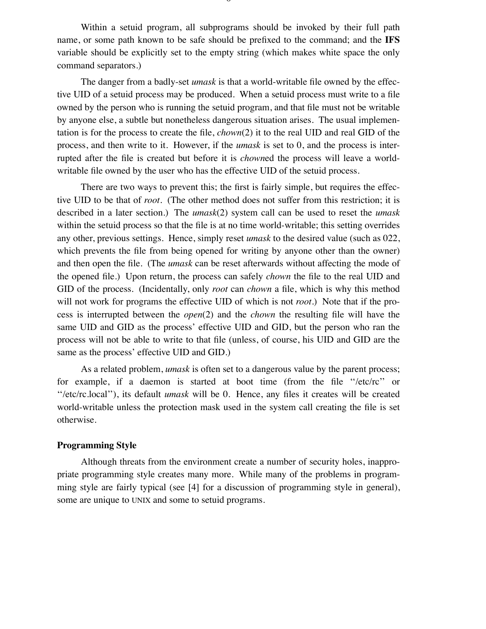Within a setuid program, all subprograms should be invoked by their full path name, or some path known to be safe should be prefixed to the command; and the IFS variable should be explicitly set to the empty string (which makes white space the only command separators.)

The danger from a badly-set *umask* is that a world-writable file owned by the effective UID of a setuid process may be produced. When a setuid process must write to a file owned by the person who is running the setuid program, and that file must not be writable by anyone else, a subtle but nonetheless dangerous situation arises. The usual implementation is for the process to create the file, *chown*(2) it to the real UID and real GID of the process, and then write to it. However, if the *umask* is set to 0, and the process is interrupted after the file is created but before it is *chowned* the process will leave a worldwritable file owned by the user who has the effective UID of the setuid process.

There are two ways to prevent this; the first is fairly simple, but requires the effective UID to be that of *root*. (The other method does not suffer from this restriction; it is described in a later section.) The *umask*(2) system call can be used to reset the *umask* within the setuid process so that the file is at no time world-writable; this setting overrides any other, previous settings. Hence, simply reset *umask* to the desired value (such as 022, which prevents the file from being opened for writing by anyone other than the owner) and then open the file. (The *umask* can be reset afterwards without affecting the mode of the opened file.) Upon return, the process can safely *chown* the file to the real UID and GID of the process. (Incidentally, only *root* can *chown* a file, which is why this method will not work for programs the effective UID of which is not *root*.) Note that if the process is interrupted between the *open*(2) and the *chown* the resulting file will have the same UID and GID as the process' effective UID and GID, but the person who ran the process will not be able to write to that file (unless, of course, his UID and GID are the same as the process' effective UID and GID.)

As a related problem, *umask* is often set to a dangerous value by the parent process; for example, if a daemon is started at boot time (from the file "/etc/rc" or "/etc/rc.local"), its default *umask* will be 0. Hence, any files it creates will be created world-writable unless the protection mask used in the system call creating the file is set otherwise.

# **Programming Style**

Although threats from the environment create a number of security holes, inappropriate programming style creates many more. While many of the problems in programming style are fairly typical (see [4] for a discussion of programming style in general), some are unique to UNIX and some to setuid programs.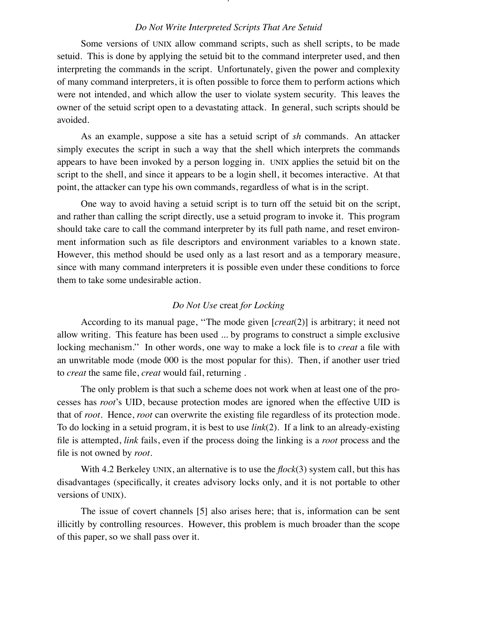## *Do Not Write Interpreted Scripts That Are Setuid*

 $\prime$ 

Some versions of UNIX allow command scripts, such as shell scripts, to be made setuid. This is done by applying the setuid bit to the command interpreter used, and then interpreting the commands in the script. Unfortunately, given the power and complexity of many command interpreters, it is often possible to force them to perform actions which were not intended, and which allow the user to violate system security. This leaves the owner of the setuid script open to a devastating attack. In general, such scripts should be avoided.

As an example, suppose a site has a setuid script of *sh* commands. An attacker simply executes the script in such a way that the shell which interprets the commands appears to have been invoked by a person logging in. UNIX applies the setuid bit on the script to the shell, and since it appears to be a login shell, it becomes interactive. At that point, the attacker can type his own commands, regardless of what is in the script.

One way to avoid having a setuid script is to turn off the setuid bit on the script, and rather than calling the script directly, use a setuid program to invoke it. This program should take care to call the command interpreter by its full path name, and reset environment information such as file descriptors and environment variables to a known state. However, this method should be used only as a last resort and as a temporary measure, since with many command interpreters it is possible even under these conditions to force them to take some undesirable action.

## *Do Not Use* creat *for Locking*

According to its manual page, "The mode given [*creat*(2)] is arbitrary; it need not allow writing. This feature has been used ... by programs to construct a simple exclusive locking mechanism." In other words, one way to make a lock file is to *creat* a file with an unwritable mode (mode 000 is the most popular for this). Then, if another user tried to *creat* the same file, *creat* would fail, returning.

The only problem is that such a scheme does not work when at least one of the processes has *root*'s UID, because protection modes are ignored when the effective UID is that of *root*. Hence, *root* can overwrite the existing file regardless of its protection mode. To do locking in a setuid program, it is best to use *link*(2). If a link to an already-existing file is attempted, *link* fails, even if the process doing the linking is a *root* process and the file is not owned by *root*.

With 4.2 Berkeley UNIX, an alternative is to use the  $flock(3)$  system call, but this has disadvantages (specifically, it creates advisory locks only, and it is not portable to other versions of UNIX).

The issue of covert channels [5] also arises here; that is, information can be sent illicitly by controlling resources. However, this problem is much broader than the scope of this paper, so we shall pass over it.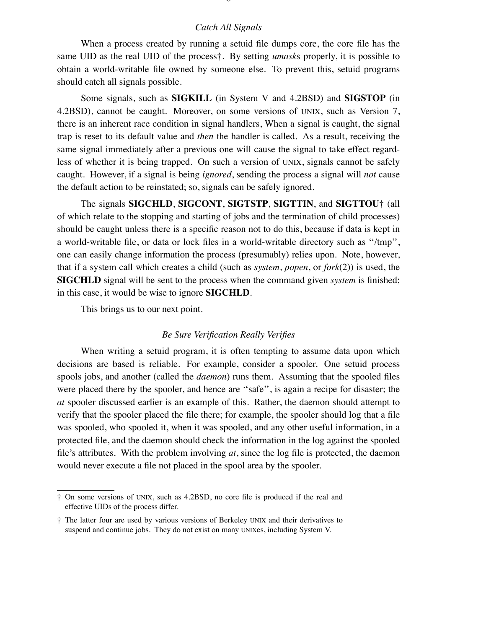## *Catch All Signals*

When a process created by running a setuid file dumps core, the core file has the same UID as the real UID of the process<sup>†</sup>. By setting *umasks* properly, it is possible to obtain a world-writable le owned by someone else. To prevent this, setuid programs should catch all signals possible.

Some signals, such as **SIGKILL** (in System V and 4.2BSD) and **SIGSTOP** (in 4.2BSD), cannot be caught. Moreover, on some versions of UNIX, such as Version 7, there is an inherent race condition in signal handlers, When a signal is caught, the signal trap is reset to its default value and *then* the handler is called. As a result, receiving the same signal immediately after a previous one will cause the signal to take effect regardless of whether it is being trapped. On such a version of UNIX, signals cannot be safely caught. However, if a signal is being *ignored*, sending the process a signal will *not* cause the default action to be reinstated; so, signals can be safely ignored.

The signals **SIGCHLD**, **SIGCONT**, **SIGTSTP**, **SIGTTIN**, and **SIGTTOU**\ (all of which relate to the stopping and starting of jobs and the termination of child processes) should be caught unless there is a specific reason not to do this, because if data is kept in a world-writable file, or data or lock files in a world-writable directory such as "/tmp", one can easily change information the process (presumably) relies upon. Note, however, that if a system call which creates a child (such as *system*, *popen*, or *fork*(2)) is used, the **SIGCHLD** signal will be sent to the process when the command given *system* is finished; in this case, it would be wise to ignore **SIGCHLD**.

This brings us to our next point.

#### *Be Sure Verification Really Verifies*

When writing a setuid program, it is often tempting to assume data upon which decisions are based is reliable. For example, consider a spooler. One setuid process spools jobs, and another (called the *daemon*) runs them. Assuming that the spooled files were placed there by the spooler, and hence are "safe", is again a recipe for disaster; the *at* spooler discussed earlier is an example of this. Rather, the daemon should attempt to verify that the spooler placed the file there; for example, the spooler should log that a file was spooled, who spooled it, when it was spooled, and any other useful information, in a protected file, and the daemon should check the information in the log against the spooled file's attributes. With the problem involving  $at$ , since the log file is protected, the daemon would never execute a file not placed in the spool area by the spooler.

 $\dagger$  On some versions of UNIX, such as 4.2BSD, no core file is produced if the real and effective UIDs of the process differ.

<sup>\</sup> The latter four are used by various versions of Berkeley UNIX and their derivatives to suspend and continue jobs. They do not exist on many UNIXes, including System V.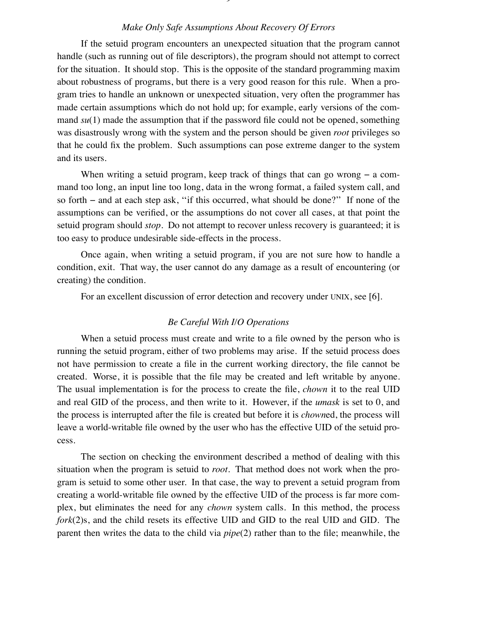## *Make Only Safe Assumptions About Recovery Of Errors*

If the setuid program encounters an unexpected situation that the program cannot handle (such as running out of file descriptors), the program should not attempt to correct for the situation. It should stop. This is the opposite of the standard programming maxim about robustness of programs, but there is a very good reason for this rule. When a program tries to handle an unknown or unexpected situation, very often the programmer has made certain assumptions which do not hold up; for example, early versions of the command  $su(1)$  made the assumption that if the password file could not be opened, something was disastrously wrong with the system and the person should be given *root* privileges so that he could fix the problem. Such assumptions can pose extreme danger to the system and its users.

When writing a setuid program, keep track of things that can go wrong  $-$  a command too long, an input line too long, data in the wrong format, a failed system call, and so forth  $-$  and at each step ask, "if this occurred, what should be done?" If none of the assumptions can be verified, or the assumptions do not cover all cases, at that point the setuid program should *stop*. Do not attempt to recover unless recovery is guaranteed; it is too easy to produce undesirable side-effects in the process.

Once again, when writing a setuid program, if you are not sure how to handle a condition, exit. That way, the user cannot do any damage as a result of encountering (or creating) the condition.

For an excellent discussion of error detection and recovery under UNIX, see [6].

### *Be Careful With I/O Operations*

When a setuid process must create and write to a file owned by the person who is running the setuid program, either of two problems may arise. If the setuid process does not have permission to create a file in the current working directory, the file cannot be created. Worse, it is possible that the file may be created and left writable by anyone. The usual implementation is for the process to create the file, *chown* it to the real UID and real GID of the process, and then write to it. However, if the *umask* is set to 0, and the process is interrupted after the file is created but before it is *chowned*, the process will leave a world-writable file owned by the user who has the effective UID of the setuid process.

The section on checking the environment described a method of dealing with this situation when the program is setuid to *root*. That method does not work when the program is setuid to some other user. In that case, the way to prevent a setuid program from creating a world-writable file owned by the effective UID of the process is far more complex, but eliminates the need for any *chown* system calls. In this method, the process *fork*(2)s, and the child resets its effective UID and GID to the real UID and GID. The parent then writes the data to the child via *pipe*(2) rather than to the file; meanwhile, the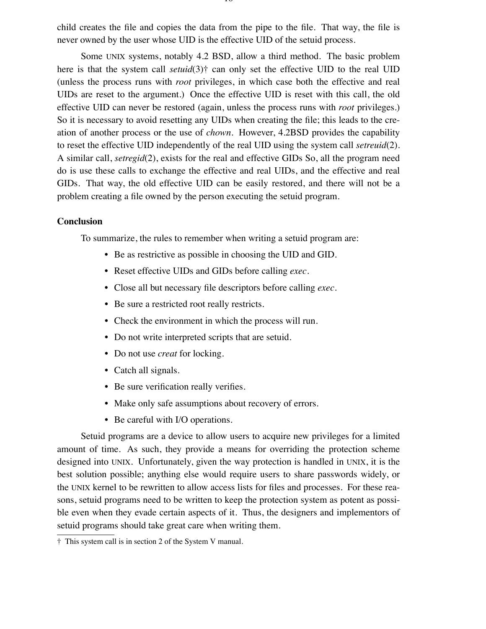child creates the file and copies the data from the pipe to the file. That way, the file is never owned by the user whose UID is the effective UID of the setuid process.

Some UNIX systems, notably 4.2 BSD, allow a third method. The basic problem here is that the system call *setuid*(3)<sup> $\dagger$ </sup> can only set the effective UID to the real UID (unless the process runs with *root* privileges, in which case both the effective and real UIDs are reset to the argument.) Once the effective UID is reset with this call, the old effective UID can never be restored (again, unless the process runs with *root* privileges.) So it is necessary to avoid resetting any UIDs when creating the file; this leads to the creation of another process or the use of *chown*. However, 4.2BSD provides the capability to reset the effective UID independently of the real UID using the system call *setreuid*(2). A similar call, *setregid*(2), exists for the real and effective GIDs So, all the program need do is use these calls to exchange the effective and real UIDs, and the effective and real GIDs. That way, the old effective UID can be easily restored, and there will not be a problem creating a file owned by the person executing the setuid program.

#### **Conclusion**

To summarize, the rules to remember when writing a setuid program are:

- Be as restrictive as possible in choosing the UID and GID.
- Reset effective UIDs and GIDs before calling *exec*.
- Close all but necessary file descriptors before calling *exec*.
- Be sure a restricted root really restricts.
- Check the environment in which the process will run.
- Do not write interpreted scripts that are setuid.
- Do not use *creat* for locking.
- Catch all signals.
- Be sure verification really verifies.
- Make only safe assumptions about recovery of errors.
- Be careful with I/O operations.

Setuid programs are a device to allow users to acquire new privileges for a limited amount of time. As such, they provide a means for overriding the protection scheme designed into UNIX. Unfortunately, given the way protection is handled in UNIX, it is the best solution possible; anything else would require users to share passwords widely, or the UNIX kernel to be rewritten to allow access lists for files and processes. For these reasons, setuid programs need to be written to keep the protection system as potent as possible even when they evade certain aspects of it. Thus, the designers and implementors of setuid programs should take great care when writing them.

<sup>\</sup> This system call is in section 2 of the System V manual.